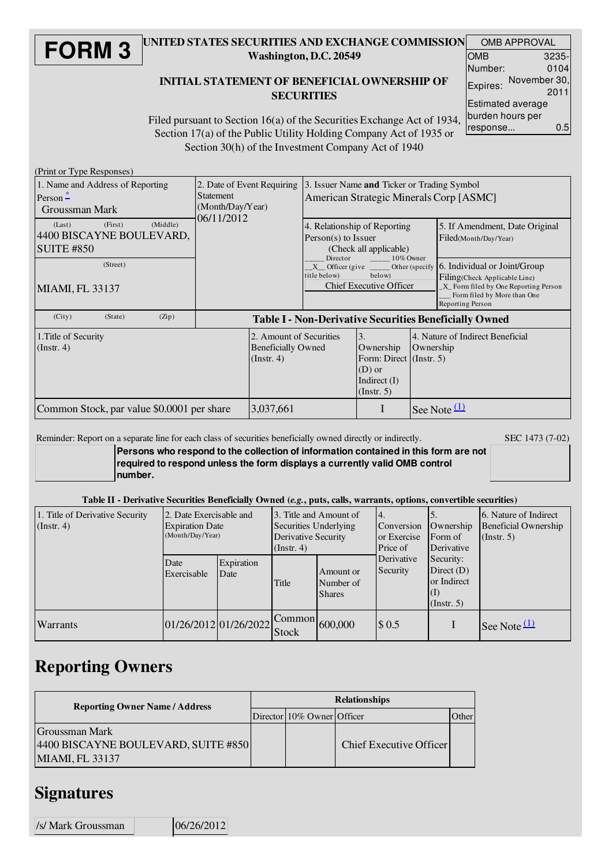#### **FORM 3** UNITED STATES SECURITIES AND EXCHANGE COMMISSION Washington, D.C. 20549

### INITIAL STATEMENT OF BENEFICIAL OWNERSHIP OF **SECURITIES**

|                   | <b>OMB APPROVAL</b> |  |  |  |  |
|-------------------|---------------------|--|--|--|--|
| OMB               | 3235-               |  |  |  |  |
| Number:           | 0104                |  |  |  |  |
| Expires:          | November 30,        |  |  |  |  |
|                   | 2011                |  |  |  |  |
| Estimated average |                     |  |  |  |  |
| burden hours per  |                     |  |  |  |  |
| response          | 0.5                 |  |  |  |  |

Filed pursuant to Section 16(a) of the Securities Exchange Act of 1934, Section 17(a) of the Public Utility Holding Company Act of 1935 or Section 30(h) of the Investment Company Act of 1940

(Print or Type Responses)

| 1. Name and Address of Reporting<br>Person $\frac{*}{-}$<br>Groussman Mark     | 2. Date of Event Requiring<br><b>Statement</b><br>(Month/Day/Year)<br>06/11/2012 |                                                                    | 3. Issuer Name and Ticker or Trading Symbol<br>American Strategic Minerals Corp [ASMC]                                         |                                                                                         |           |                                                                                                                                                          |
|--------------------------------------------------------------------------------|----------------------------------------------------------------------------------|--------------------------------------------------------------------|--------------------------------------------------------------------------------------------------------------------------------|-----------------------------------------------------------------------------------------|-----------|----------------------------------------------------------------------------------------------------------------------------------------------------------|
| (Middle)<br>(First)<br>(Last)<br>4400 BISCAYNE BOULEVARD,<br><b>SUITE #850</b> |                                                                                  |                                                                    | $Person(s)$ to Issuer                                                                                                          | 4. Relationship of Reporting<br>(Check all applicable)                                  |           | 5. If Amendment, Date Original<br>Filed(Month/Day/Year)                                                                                                  |
| (Street)<br>MIAMI, FL 33137                                                    |                                                                                  |                                                                    | Director $_{\_ \_ \_ \_ \_ \_ \_ \_ \_ \_ \_ \_ \_ \_ \_ \}$ Owner<br>below)<br>title below)<br><b>Chief Executive Officer</b> |                                                                                         |           | 6. Individual or Joint/Group<br>Filing(Check Applicable Line)<br>X Form filed by One Reporting Person<br>Form filed by More than One<br>Reporting Person |
| (City)<br>(Zip)<br>(State)                                                     |                                                                                  |                                                                    |                                                                                                                                |                                                                                         |           | <b>Table I - Non-Derivative Securities Beneficially Owned</b>                                                                                            |
| 1. Title of Security<br>(Insert. 4)                                            |                                                                                  | 2. Amount of Securities<br><b>Beneficially Owned</b><br>(Instr. 4) |                                                                                                                                | 3.<br>Ownership<br>Form: Direct (Instr. 5)<br>$(D)$ or<br>Indirect $(I)$<br>(Insert. 5) | Ownership | 4. Nature of Indirect Beneficial                                                                                                                         |
| Common Stock, par value \$0.0001 per share                                     |                                                                                  | 3,037,661                                                          |                                                                                                                                | I                                                                                       |           | See Note $(1)$                                                                                                                                           |

Reminder: Report on a separate line for each class of securities beneficially owned directly or indirectly. SEC 1473 (7-02)

**Persons who respond to the collection of information contained in this form are not required to respond unless the form displays a currently valid OMB control number.**

#### Table II - Derivative Securities Beneficially Owned (*e.g.*, puts, calls, warrants, options, convertible securities)

| 1. Title of Derivative Security<br>$($ Instr. 4 $)$ | 2. Date Exercisable and<br><b>Expiration Date</b><br>(Month/Day/Year) |                    | 3. Title and Amount of<br>Securities Underlying<br>Derivative Security<br>$($ Instr. 4 $)$ |                                         | 4.<br>Ownership<br>Conversion<br>or Exercise<br>Form of<br>Derivative<br>Price of             |  | 6. Nature of Indirect<br><b>Beneficial Ownership</b><br>(Insert. 5) |
|-----------------------------------------------------|-----------------------------------------------------------------------|--------------------|--------------------------------------------------------------------------------------------|-----------------------------------------|-----------------------------------------------------------------------------------------------|--|---------------------------------------------------------------------|
|                                                     | Date<br>Exercisable                                                   | Expiration<br>Date | Title                                                                                      | Amount or<br>Number of<br><b>Shares</b> | Derivative<br>Security:<br>Security<br>Direct $(D)$<br>or Indirect<br>(1)<br>$($ Instr. 5 $)$ |  |                                                                     |
| Warrants                                            | 01/26/2012 01/26/2022                                                 |                    | <b>Stock</b>                                                                               | $\sim$ Common 600,000                   | \$0.5                                                                                         |  | See Note $(1)$                                                      |

# Reporting Owners

| <b>Reporting Owner Name / Address</b>                                           |  | <b>Relationships</b>       |                         |               |  |  |  |
|---------------------------------------------------------------------------------|--|----------------------------|-------------------------|---------------|--|--|--|
|                                                                                 |  | Director 10% Owner Officer |                         | <b>J</b> ther |  |  |  |
| Groussman Mark<br>4400 BISCAYNE BOULEVARD, SUITE #850<br><b>MIAMI, FL 33137</b> |  |                            | Chief Executive Officer |               |  |  |  |

### **Signatures**

 $\vert$ /s/ Mark Groussman  $\vert$  06/26/2012